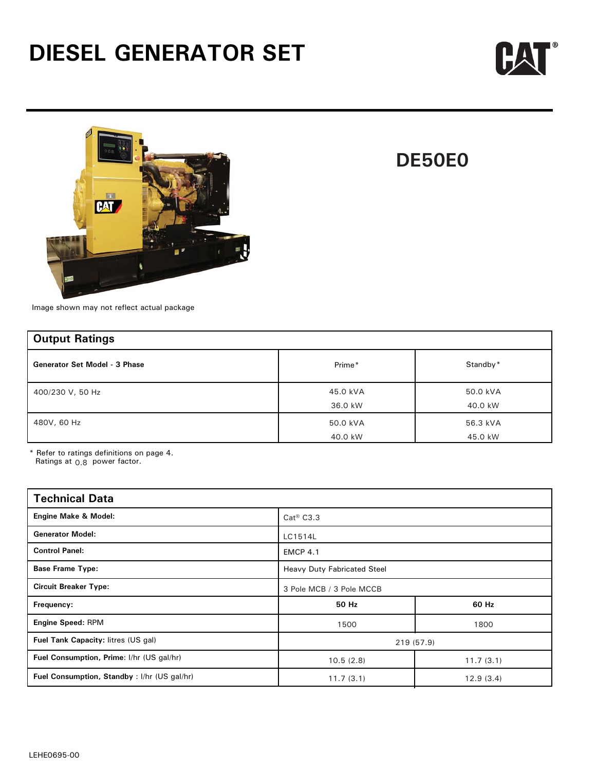



## **DE50E0**

Image shown may not reflect actual package

| <b>Output Ratings</b>                |                     |                     |
|--------------------------------------|---------------------|---------------------|
| <b>Generator Set Model - 3 Phase</b> | Prime*              | Standby*            |
| 400/230 V, 50 Hz                     | 45.0 kVA<br>36.0 kW | 50.0 kVA<br>40.0 kW |
| 480V, 60 Hz                          | 50.0 kVA<br>40.0 kW | 56.3 kVA<br>45.0 kW |

\* Refer to ratings definitions on page 4. Ratings at  $0.8$  power factor.

| <b>Technical Data</b>                       |                                    |           |  |  |
|---------------------------------------------|------------------------------------|-----------|--|--|
| <b>Engine Make &amp; Model:</b>             | $Cat^@$ $C3.3$                     |           |  |  |
| <b>Generator Model:</b>                     | LC1514L                            |           |  |  |
| <b>Control Panel:</b>                       | <b>EMCP 4.1</b>                    |           |  |  |
| <b>Base Frame Type:</b>                     | <b>Heavy Duty Fabricated Steel</b> |           |  |  |
| <b>Circuit Breaker Type:</b>                | 3 Pole MCB / 3 Pole MCCB           |           |  |  |
| Frequency:                                  | 50 Hz<br>60 Hz                     |           |  |  |
| <b>Engine Speed: RPM</b>                    | 1500<br>1800                       |           |  |  |
| Fuel Tank Capacity: litres (US gal)         | 219 (57.9)                         |           |  |  |
| Fuel Consumption, Prime: I/hr (US gal/hr)   | 10.5(2.8)                          | 11.7(3.1) |  |  |
| Fuel Consumption, Standby: I/hr (US gal/hr) | 12.9(3.4)<br>11.7(3.1)             |           |  |  |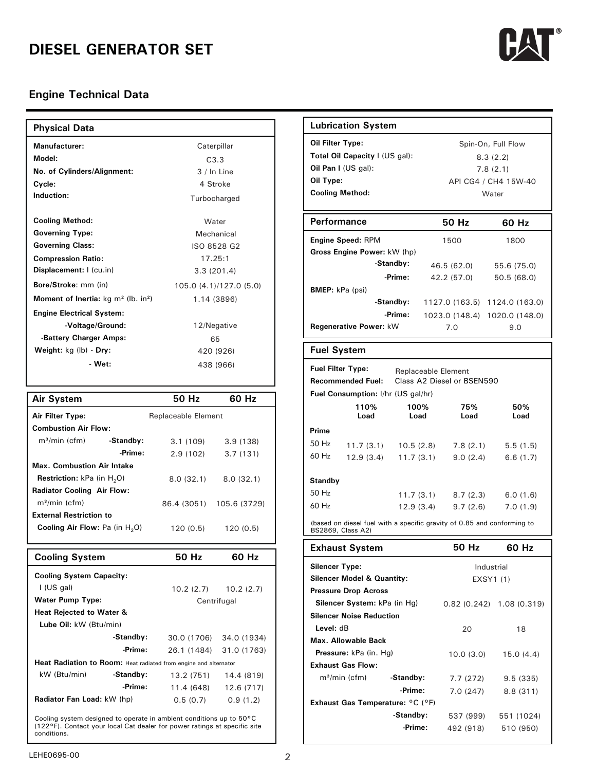

| <b>Physical Data</b>                                         |                         | <b>Lubrication System</b>                            |
|--------------------------------------------------------------|-------------------------|------------------------------------------------------|
| <b>Manufacturer:</b>                                         | Caterpillar             | Oil Filter Type:                                     |
| Model:                                                       | C3.3                    | Total Oil Capacity   (US)                            |
| No. of Cylinders/Alignment:                                  | $3/ln$ Line             | Oil Pan I (US gal):                                  |
| Cycle:                                                       | 4 Stroke                | Oil Type:                                            |
| Induction:                                                   | Turbocharged            | <b>Cooling Method:</b>                               |
| <b>Cooling Method:</b>                                       | Water                   | <b>Performance</b>                                   |
| <b>Governing Type:</b>                                       | Mechanical              |                                                      |
| <b>Governing Class:</b>                                      | ISO 8528 G2             | <b>Engine Speed: RPM</b>                             |
| <b>Compression Ratio:</b>                                    | 17.25:1                 | Gross Engine Power: kV<br>-Stand                     |
| Displacement: I (cu.in)                                      | 3.3(201.4)              | -Pri                                                 |
| Bore/Stroke: mm (in)                                         | 105.0 (4.1)/127.0 (5.0) | <b>BMEP:</b> kPa (psi)                               |
| <b>Moment of Inertia:</b> $kg \, m^2$ (lb. in <sup>2</sup> ) | 1.14 (3896)             | -Stand                                               |
| <b>Engine Electrical System:</b>                             |                         | -Pri                                                 |
| -Voltage/Ground:                                             | 12/Negative             | Regenerative Power: kW                               |
| -Battery Charger Amps:                                       | 65                      |                                                      |
| Weight: kg (lb) - Dry:                                       | 420 (926)               | <b>Fuel System</b>                                   |
| - Wet:                                                       | 438 (966)               | <b>Fuel Filter Type:</b><br><b>Recommended Fuel:</b> |
|                                                              |                         | <b>Fuel Consumption: I/hr (</b>                      |

| <b>Air System</b>                        |           | 50 Hz                      | 60 Hz        |
|------------------------------------------|-----------|----------------------------|--------------|
| Air Filter Type:                         |           | <b>Replaceable Element</b> |              |
| <b>Combustion Air Flow:</b>              |           |                            |              |
| $m^3$ /min (cfm)                         | -Standby: | 3.1(109)                   | 3.9(138)     |
|                                          | -Prime:   | 2.9(102)                   | 3.7(131)     |
| <b>Max. Combustion Air Intake</b>        |           |                            |              |
| <b>Restriction:</b> $kPa$ (in $H_2O$ )   |           | 8.0(32.1)                  | 8.0(32.1)    |
| <b>Radiator Cooling Air Flow:</b>        |           |                            |              |
| $m^3$ /min (cfm)                         |           | 86.4 (3051)                | 105.6 (3729) |
| <b>External Restriction to</b>           |           |                            |              |
| <b>Cooling Air Flow:</b> Pa (in $H_2O$ ) |           | 120 (0.5)                  | 120(0.5)     |

| <b>Cooling System</b>                                                                                                                             |                                        | 50 Hz      | 60 Hz                   |                                       |
|---------------------------------------------------------------------------------------------------------------------------------------------------|----------------------------------------|------------|-------------------------|---------------------------------------|
|                                                                                                                                                   |                                        |            |                         | <b>Silencer Type:</b>                 |
| <b>Cooling System Capacity:</b>                                                                                                                   |                                        |            |                         | <b>Silencer Model &amp; Quantity:</b> |
| I (US gal)                                                                                                                                        |                                        |            | $10.2(2.7)$ $10.2(2.7)$ | <b>Pressure Drop Across</b>           |
|                                                                                                                                                   | <b>Water Pump Type:</b><br>Centrifugal |            |                         | Silencer System: kPa (in Form)        |
| <b>Heat Rejected to Water &amp;</b>                                                                                                               |                                        |            |                         | <b>Silencer Noise Reduction</b>       |
| Lube Oil: kW (Btu/min)                                                                                                                            |                                        |            |                         | Level: dB                             |
|                                                                                                                                                   | -Standby:                              |            | 30.0 (1706) 34.0 (1934) | Max. Allowable Back                   |
|                                                                                                                                                   | -Prime:                                |            | 26.1 (1484) 31.0 (1763) | Pressure: kPa (in. Hg)                |
| Heat Radiation to Room: Heat radiated from engine and alternator                                                                                  |                                        |            |                         | <b>Exhaust Gas Flow:</b>              |
| kW (Btu/min)                                                                                                                                      | -Standby:                              | 13.2 (751) | 14.4 (819)              | $m^3/m$ in (cfm)<br>-Star             |
|                                                                                                                                                   | -Prime:                                | 11.4 (648) | 12.6 (717)              |                                       |
| <b>Radiator Fan Load: kW (hp)</b>                                                                                                                 |                                        | 0.5(0.7)   | 0.9(1.2)                | <b>Exhaust Gas Temperature:</b>       |
|                                                                                                                                                   |                                        |            |                         | -Sta                                  |
| Cooling system designed to operate in ambient conditions up to 50 °C<br>(122°F). Contact your local Cat dealer for power ratings at specific site |                                        |            |                         |                                       |
| conditions.                                                                                                                                       |                                        |            |                         |                                       |

| <b>Lubrication System</b>                                                                                        |                         |                                                                             |                                              |  |  |  |
|------------------------------------------------------------------------------------------------------------------|-------------------------|-----------------------------------------------------------------------------|----------------------------------------------|--|--|--|
| Oil Filter Type:<br>Total Oil Capacity   (US gal):<br>Oil Pan I (US gal):<br>Oil Type:<br><b>Cooling Method:</b> |                         | Spin-On, Full Flow<br>8.3(2.2)<br>7.8(2.1)<br>API CG4 / CH4 15W-40<br>Water |                                              |  |  |  |
| <b>Performance</b>                                                                                               |                         | 50 Hz                                                                       | 60 Hz                                        |  |  |  |
| <b>Engine Speed: RPM</b><br>Gross Engine Power: kW (hp)<br>-Standby:                                             |                         | 1500<br>46.5 (62.0)                                                         | 1800<br>55.6 (75.0)                          |  |  |  |
| <b>BMEP</b> : kPa (psi)                                                                                          | -Prime:<br>-Standby:    | 42.2 (57.0)                                                                 | 50.5 (68.0)<br>1127.0 (163.5) 1124.0 (163.0) |  |  |  |
| -Prime:<br>Regenerative Power: kW                                                                                |                         | 7.0                                                                         | 1023.0 (148.4) 1020.0 (148.0)<br>9.0         |  |  |  |
| <b>Fuel System</b>                                                                                               |                         |                                                                             |                                              |  |  |  |
| <b>Fuel Filter Type:</b><br><b>Recommended Fuel:</b><br>Fuel Consumption: I/hr (US gal/hr)                       |                         | Replaceable Element<br>Class A2 Diesel or BSEN590                           |                                              |  |  |  |
| 110%<br>Load                                                                                                     | 100%<br>Load            | 75%<br>Load                                                                 | 50%<br>Load                                  |  |  |  |
| Prime<br>50 Hz<br>11.7(3.1)<br>60 Hz<br>12.9 (3.4)                                                               | 10.5(2.8)<br>11.7 (3.1) | 7.8(2.1)<br>9.0(2.4)                                                        | 5.5(1.5)<br>6.6(1.7)                         |  |  |  |
| <b>Standby</b><br>50 Hz<br>60 Hz                                                                                 | 11.7(3.1)<br>12.9 (3.4) | 8.7(2.3)<br>9.7(2.6)                                                        | 6.0(1.6)<br>7.0(1.9)                         |  |  |  |
| (based on diesel fuel with a specific gravity of 0.85 and conforming to<br>BS2869, Class A2)                     |                         |                                                                             |                                              |  |  |  |
| <b>Exhaust System</b>                                                                                            |                         | 50 Hz                                                                       | 60 Hz                                        |  |  |  |
| <b>Silencer Type:</b><br><b>Silencer Model &amp; Quantity:</b><br><b>Pressure Drop Across</b>                    |                         |                                                                             | Industrial<br>EXSY1 (1)                      |  |  |  |
| Silencer System: kPa (in Hg)<br><b>Silencer Noise Reduction</b><br>Level: dB                                     |                         | 20                                                                          | $0.82$ (0.242) 1.08 (0.319)<br>18            |  |  |  |
| Max. Allowable Back<br>Pressure: kPa (in. Hg)<br><b>Exhaust Gas Flow:</b>                                        |                         | 10.0 (3.0)                                                                  | 15.0(4.4)                                    |  |  |  |

**-Prime:**

7.7 (272) 9.5 (335) 7.0 (247) 8.8 (311)

537 (999) 551 (1024) 492 (918) 510 (950)

**-Prime: -Standby:**

m³/min (cfm) **-Standby:**

**Exhaust Gas Temperature:** °C (°F)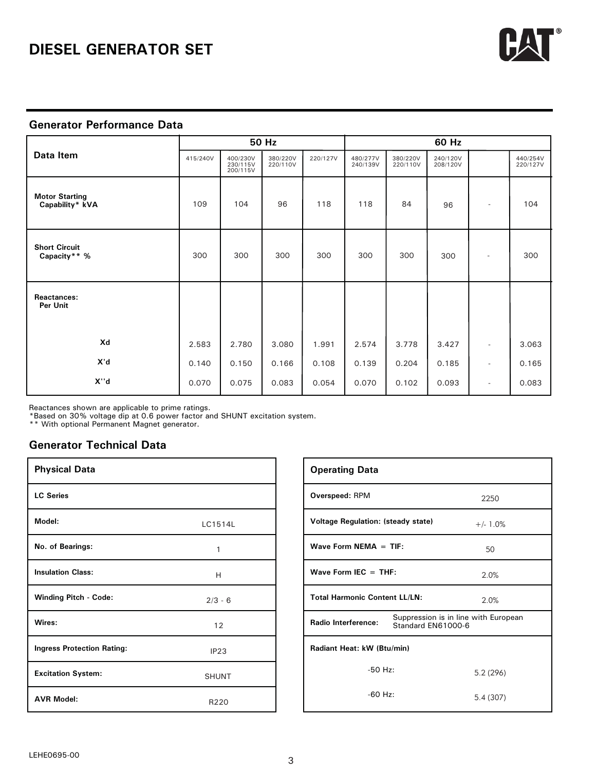

#### **Generator Performance Data**

|                                          | 50 Hz    |                                  |                      | 60 Hz    |                      |                      |                      |                          |                      |
|------------------------------------------|----------|----------------------------------|----------------------|----------|----------------------|----------------------|----------------------|--------------------------|----------------------|
| Data Item                                | 415/240V | 400/230V<br>230/115V<br>200/115V | 380/220V<br>220/110V | 220/127V | 480/277V<br>240/139V | 380/220V<br>220/110V | 240/120V<br>208/120V |                          | 440/254V<br>220/127V |
| <b>Motor Starting</b><br>Capability* kVA | 109      | 104                              | 96                   | 118      | 118                  | 84                   | 96                   |                          | 104                  |
| <b>Short Circuit</b><br>Capacity** %     | 300      | 300                              | 300                  | 300      | 300                  | 300                  | 300                  |                          | 300                  |
| Reactances:<br>Per Unit                  |          |                                  |                      |          |                      |                      |                      |                          |                      |
| Xd                                       | 2.583    | 2.780                            | 3.080                | 1.991    | 2.574                | 3.778                | 3.427                | $\overline{\phantom{a}}$ | 3.063                |
| X'd                                      | 0.140    | 0.150                            | 0.166                | 0.108    | 0.139                | 0.204                | 0.185                | $\overline{\phantom{0}}$ | 0.165                |
| X''d                                     | 0.070    | 0.075                            | 0.083                | 0.054    | 0.070                | 0.102                | 0.093                | $\overline{\phantom{a}}$ | 0.083                |

Reactances shown are applicable to prime ratings.

\*Based on 30% voltage dip at 0.6 power factor and SHUNT excitation system.

\*\* With optional Permanent Magnet generator.

#### **Generator Technical Data**

| <b>Physical Data</b>              |              | <b>Operating Data</b>      |
|-----------------------------------|--------------|----------------------------|
| <b>LC Series</b>                  |              | Overspeed: RPM             |
| Model:                            | LC1514L      | <b>Voltage Regulation</b>  |
| No. of Bearings:                  | 1            | <b>Wave Form NEMA</b>      |
| <b>Insulation Class:</b>          | H            | Wave Form IEC $=$          |
| <b>Winding Pitch - Code:</b>      | $2/3 - 6$    | <b>Total Harmonic Co</b>   |
| Wires:                            | 12           | <b>Radio Interference:</b> |
| <b>Ingress Protection Rating:</b> | IP23         | Radiant Heat: kW (         |
| <b>Excitation System:</b>         | <b>SHUNT</b> | $-5C$                      |
| <b>AVR Model:</b>                 | R220         | $-60$                      |

| <b>Operating Data</b> |                    |                                                                                                                                                                                                |
|-----------------------|--------------------|------------------------------------------------------------------------------------------------------------------------------------------------------------------------------------------------|
| Overspeed: RPM        |                    | 2250                                                                                                                                                                                           |
|                       |                    | $+/- 1.0%$                                                                                                                                                                                     |
|                       |                    | 50                                                                                                                                                                                             |
|                       |                    | 2.0%                                                                                                                                                                                           |
|                       |                    | 2.0%                                                                                                                                                                                           |
| Radio Interference:   | Standard EN61000-6 | Suppression is in line with European                                                                                                                                                           |
|                       |                    |                                                                                                                                                                                                |
|                       |                    | 5.2(296)                                                                                                                                                                                       |
|                       |                    | 5.4 (307)                                                                                                                                                                                      |
|                       |                    | <b>Voltage Regulation: (steady state)</b><br>Wave Form NEMA $=$ TIF:<br>Wave Form IEC $=$ THF:<br><b>Total Harmonic Content LL/LN:</b><br>Radiant Heat: kW (Btu/min)<br>$-50$ Hz:<br>$-60$ Hz: |